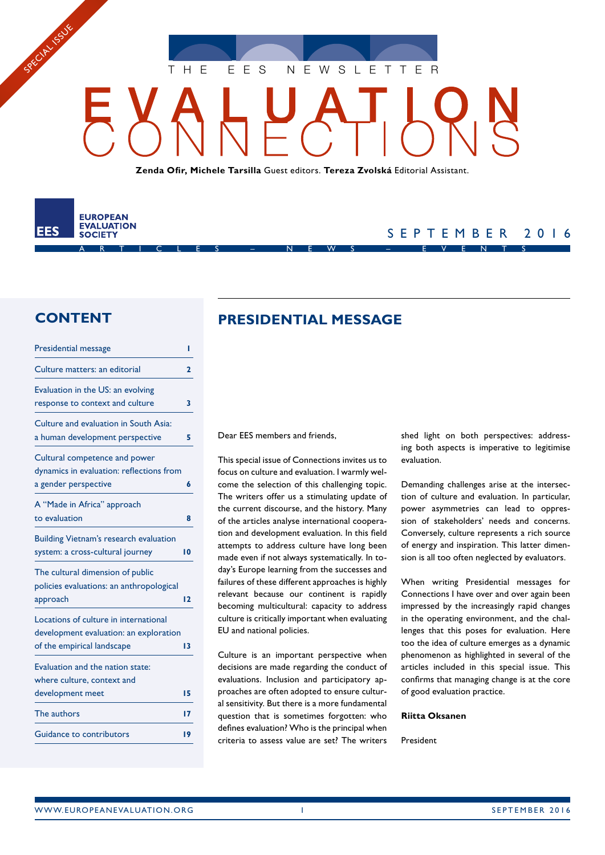THE EES NEWSLETTER

**Zenda Ofir, Michele Tarsilla** Guest editors. **Tereza Zvolská** Editorial Assistant.



SPECIAL ISSUE

## SEPTEMBER 2016

## **CONTENT**

| <b>Presidential message</b>                                                                                   | ı  |
|---------------------------------------------------------------------------------------------------------------|----|
| Culture matters: an editorial                                                                                 | 2  |
| Evaluation in the US: an evolving<br>response to context and culture                                          | 3  |
| Culture and evaluation in South Asia:<br>a human development perspective                                      | 5  |
| Cultural competence and power<br>dynamics in evaluation: reflections from<br>a gender perspective             | 6  |
| A "Made in Africa" approach<br>to evaluation                                                                  | Զ  |
| <b>Building Vietnam's research evaluation</b><br>system: a cross-cultural journey                             | 10 |
| The cultural dimension of public<br>policies evaluations: an anthropological<br>approach                      | 12 |
| Locations of culture in international<br>development evaluation: an exploration<br>of the empirical landscape | 13 |
| Evaluation and the nation state:<br>where culture, context and<br>development meet                            | 15 |
| The authors                                                                                                   | 17 |
| Guidance to contributors                                                                                      | 19 |

## **PRESIDENTIAL MESSAGE**

Dear EES members and friends,

This special issue of Connections invites us to focus on culture and evaluation. I warmly welcome the selection of this challenging topic. The writers offer us a stimulating update of the current discourse, and the history. Many of the articles analyse international cooperation and development evaluation. In this field attempts to address culture have long been made even if not always systematically. In today's Europe learning from the successes and failures of these different approaches is highly relevant because our continent is rapidly becoming multicultural: capacity to address culture is critically important when evaluating EU and national policies.

Culture is an important perspective when decisions are made regarding the conduct of evaluations. Inclusion and participatory approaches are often adopted to ensure cultural sensitivity. But there is a more fundamental question that is sometimes forgotten: who defines evaluation? Who is the principal when criteria to assess value are set? The writers shed light on both perspectives: addressing both aspects is imperative to legitimise evaluation.

Demanding challenges arise at the intersection of culture and evaluation. In particular, power asymmetries can lead to oppression of stakeholders' needs and concerns. Conversely, culture represents a rich source of energy and inspiration. This latter dimension is all too often neglected by evaluators.

When writing Presidential messages for Connections I have over and over again been impressed by the increasingly rapid changes in the operating environment, and the challenges that this poses for evaluation. Here too the idea of culture emerges as a dynamic phenomenon as highlighted in several of the articles included in this special issue. This confirms that managing change is at the core of good evaluation practice.

#### **Riitta Oksanen**

President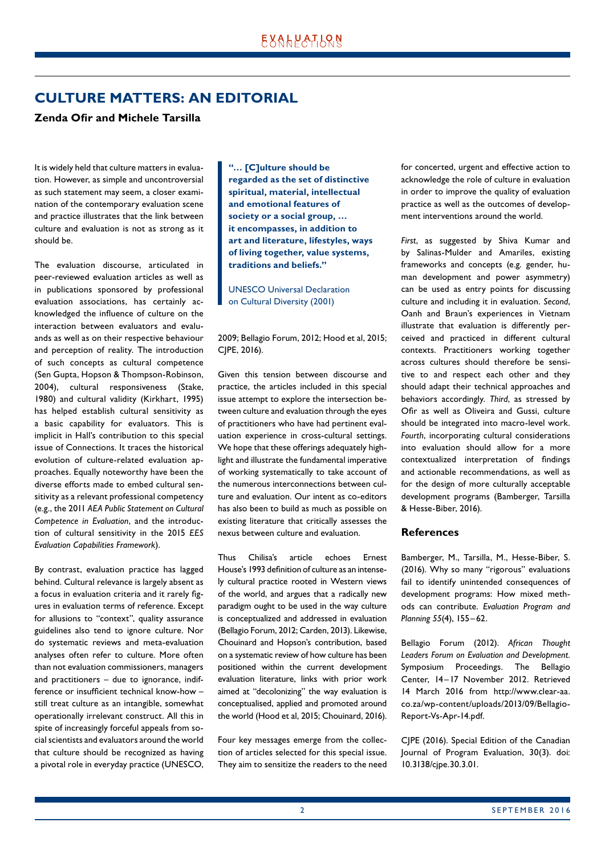## <span id="page-1-0"></span>**CULTURE MATTERS: AN EDITORIAL**

#### **Zenda Ofir and Michele Tarsilla**

It is widely held that culture matters in evaluation. However, as simple and uncontroversial as such statement may seem, a closer examination of the contemporary evaluation scene and practice illustrates that the link between culture and evaluation is not as strong as it should be.

The evaluation discourse, articulated in peer-reviewed evaluation articles as well as in publications sponsored by professional evaluation associations, has certainly acknowledged the influence of culture on the interaction between evaluators and evaluands as well as on their respective behaviour and perception of reality. The introduction of such concepts as cultural competence (Sen Gupta, Hopson & Thompson-Robinson, 2004), cultural responsiveness (Stake, 1980) and cultural validity (Kirkhart, 1995) has helped establish cultural sensitivity as a basic capability for evaluators. This is implicit in Hall's contribution to this special issue of Connections. It traces the historical evolution of culture-related evaluation approaches. Equally noteworthy have been the diverse efforts made to embed cultural sensitivity as a relevant professional competency (e.g., the 2011 *AEA Public Statement on Cultural Competence in Evaluation*, and the introduc‑ tion of cultural sensitivity in the 2015 *EES Evaluation Capabilities Framework*).

By contrast, evaluation practice has lagged behind. Cultural relevance is largely absent as a focus in evaluation criteria and it rarely figures in evaluation terms of reference. Except for allusions to "context", quality assurance guidelines also tend to ignore culture. Nor do systematic reviews and meta-evaluation analyses often refer to culture. More often than not evaluation commissioners, managers and practitioners  $-$  due to ignorance, indifference or insufficient technical know-how – still treat culture as an intangible, somewhat operationally irrelevant construct. All this in spite of increasingly forceful appeals from social scientists and evaluators around the world that culture should be recognized as having a pivotal role in everyday practice (UNESCO,

**"… [C]ulture should be regarded as the set of distinctive spiritual, material, intellectual and emotional features of society or a social group, … it encompasses, in addition to art and literature, lifestyles, ways of living together, value systems, traditions and beliefs."**

UNESCO Universal Declaration on Cultural Diversity (2001)

2009; Bellagio Forum, 2012; Hood et al, 2015; CJPE, 2016).

Given this tension between discourse and practice, the articles included in this special issue attempt to explore the intersection between culture and evaluation through the eyes of practitioners who have had pertinent evaluation experience in cross-cultural settings. We hope that these offerings adequately highlight and illustrate the fundamental imperative of working systematically to take account of the numerous interconnections between culture and evaluation. Our intent as co-editors has also been to build as much as possible on existing literature that critically assesses the nexus between culture and evaluation.

Thus Chilisa's article echoes Ernest House's 1993 definition of culture as an intensely cultural practice rooted in Western views of the world, and argues that a radically new paradigm ought to be used in the way culture is conceptualized and addressed in evaluation (Bellagio Forum, 2012; Carden, 2013). Likewise, Chouinard and Hopson's contribution, based on a systematic review of how culture has been positioned within the current development evaluation literature, links with prior work aimed at "decolonizing" the way evaluation is conceptualised, applied and promoted around the world (Hood et al, 2015; Chouinard, 2016).

Four key messages emerge from the collection of articles selected for this special issue. They aim to sensitize the readers to the need for concerted, urgent and effective action to acknowledge the role of culture in evaluation in order to improve the quality of evaluation practice as well as the outcomes of development interventions around the world.

*First*, as suggested by Shiva Kumar and by Salinas-Mulder and Amariles, existing frameworks and concepts (e.g. gender, human development and power asymmetry) can be used as entry points for discussing culture and including it in evaluation. *Second*, Oanh and Braun's experiences in Vietnam illustrate that evaluation is differently perceived and practiced in different cultural contexts. Practitioners working together across cultures should therefore be sensitive to and respect each other and they should adapt their technical approaches and behaviors accordingly. *Third*, as stressed by Ofir as well as Oliveira and Gussi, culture should be integrated into macro-level work. *Fourth*, incorporating cultural considerations into evaluation should allow for a more contextualized interpretation of findings and actionable recommendations, as well as for the design of more culturally acceptable development programs (Bamberger, Tarsilla & Hesse-Biber, 2016).

#### **References**

Bamberger, M., Tarsilla, M., Hesse-Biber, S. (2016). Why so many "rigorous" evaluations fail to identify unintended consequences of development programs: How mixed methods can contribute. *Evaluation Program and Planning 55*(4), 155–62.

Bellagio Forum (2012). *African Thought Leaders Forum on Evaluation and Development.* Symposium Proceedings. The Bellagio Center, 14–17 November 2012. Retrieved 14 March 2016 from http://www.clear-aa. co.za/wp-content/uploads/2013/09/Bellagio-Report-Vs-Apr-14.pdf.

CJPE (2016). Special Edition of the Canadian Journal of Program Evaluation, 30(3). doi: 10.3138/cjpe.30.3.01.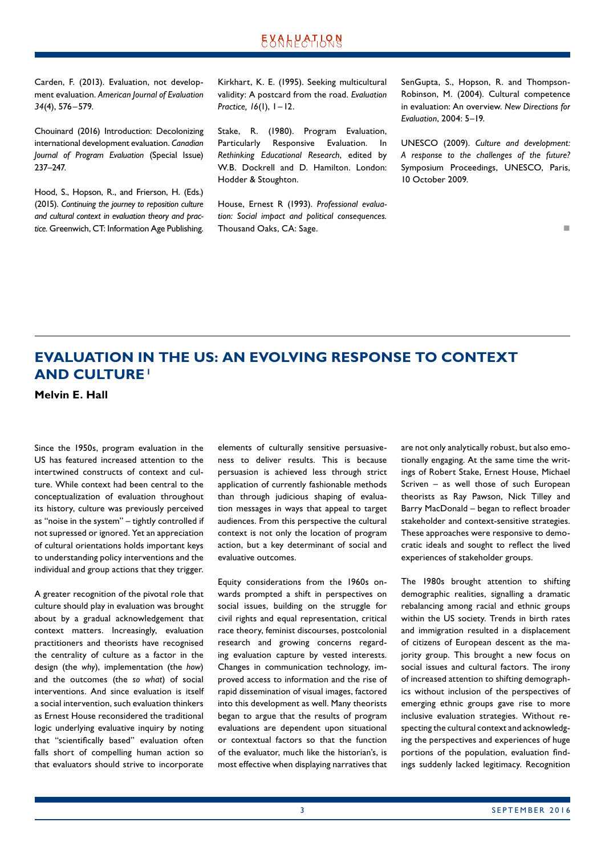<span id="page-2-0"></span>Carden, F. (2013). Evaluation, not development evaluation. *American Journal of Evaluation 34*(4), 576–579.

Chouinard (2016) Introduction: Decolonizing international development evaluation. *Canadian Journal of Program Evaluation* (Special Issue) 237–247.

Hood, S., Hopson, R., and Frierson, H. (Eds.) (2015). *Continuing the journey to reposition culture and cultural context in evaluation theory and practice.* Greenwich, CT: Information Age Publishing. Kirkhart, K. E. (1995). Seeking multicultural validity: A postcard from the road. *Evaluation Practice, 16*(1), 1–12.

Stake, R. (1980). Program Evaluation, Particularly Responsive Evaluation. In *Rethinking Educational Research*, edited by W.B. Dockrell and D. Hamilton. London: Hodder & Stoughton.

House, Ernest R (1993). *Professional evaluation: Social impact and political consequences.*  Thousand Oaks, CA: Sage.

SenGupta, S., Hopson, R. and Thompson-Robinson, M. (2004). Cultural competence in evaluation: An overview. *New Directions for Evaluation*, 2004: 5–19.

UNESCO (2009). *Culture and development: A response to the challenges of the future?*  Symposium Proceedings, UNESCO, Paris, 10 October 2009.

n

## **EVALUATION IN THE US: AN EVOLVING RESPONSE TO CONTEXT AND CULTURE1**

**Melvin E. Hall**

Since the 1950s, program evaluation in the US has featured increased attention to the intertwined constructs of context and culture. While context had been central to the conceptualization of evaluation throughout its history, culture was previously perceived as "noise in the system" – tightly controlled if not supressed or ignored. Yet an appreciation of cultural orientations holds important keys to understanding policy interventions and the individual and group actions that they trigger.

A greater recognition of the pivotal role that culture should play in evaluation was brought about by a gradual acknowledgement that context matters. Increasingly, evaluation practitioners and theorists have recognised the centrality of culture as a factor in the design (the *why*), implementation (the *how*) and the outcomes (the *so what*) of social interventions. And since evaluation is itself a social intervention, such evaluation thinkers as Ernest House reconsidered the traditional logic underlying evaluative inquiry by noting that "scientifically based" evaluation often falls short of compelling human action so that evaluators should strive to incorporate

elements of culturally sensitive persuasiveness to deliver results. This is because persuasion is achieved less through strict application of currently fashionable methods than through judicious shaping of evaluation messages in ways that appeal to target audiences. From this perspective the cultural context is not only the location of program action, but a key determinant of social and evaluative outcomes.

Equity considerations from the 1960s on‑ wards prompted a shift in perspectives on social issues, building on the struggle for civil rights and equal representation, critical race theory, feminist discourses, postcolonial research and growing concerns regarding evaluation capture by vested interests. Changes in communication technology, im‑ proved access to information and the rise of rapid dissemination of visual images, factored into this development as well. Many theorists began to argue that the results of program evaluations are dependent upon situational or contextual factors so that the function of the evaluator, much like the historian's, is most effective when displaying narratives that are not only analytically robust, but also emotionally engaging. At the same time the writings of Robert Stake, Ernest House, Michael Scriven – as well those of such European theorists as Ray Pawson, Nick Tilley and Barry MacDonald – began to reflect broader stakeholder and context-sensitive strategies. These approaches were responsive to democratic ideals and sought to reflect the lived experiences of stakeholder groups.

The 1980s brought attention to shifting demographic realities, signalling a dramatic rebalancing among racial and ethnic groups within the US society. Trends in birth rates and immigration resulted in a displacement of citizens of European descent as the majority group. This brought a new focus on social issues and cultural factors. The irony of increased attention to shifting demographics without inclusion of the perspectives of emerging ethnic groups gave rise to more inclusive evaluation strategies. Without respecting the cultural context and acknowledging the perspectives and experiences of huge portions of the population, evaluation findings suddenly lacked legitimacy. Recognition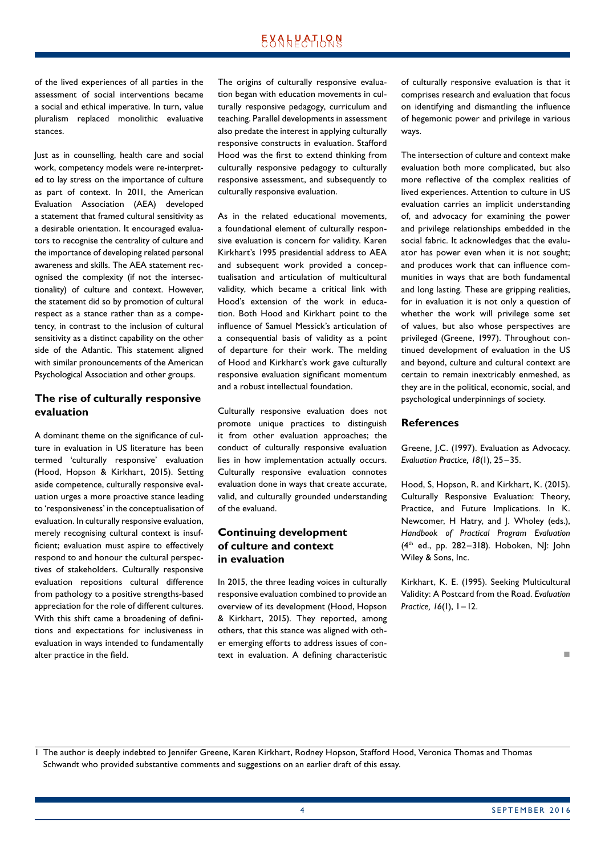of the lived experiences of all parties in the assessment of social interventions became a social and ethical imperative. In turn, value pluralism replaced monolithic evaluative stances.

Just as in counselling, health care and social work, competency models were re-interpreted to lay stress on the importance of culture as part of context. In 2011, the American Evaluation Association (AEA) developed a statement that framed cultural sensitivity as a desirable orientation. It encouraged evaluators to recognise the centrality of culture and the importance of developing related personal awareness and skills. The AEA statement recognised the complexity (if not the intersectionality) of culture and context. However, the statement did so by promotion of cultural respect as a stance rather than as a competency, in contrast to the inclusion of cultural sensitivity as a distinct capability on the other side of the Atlantic. This statement aligned with similar pronouncements of the American Psychological Association and other groups.

#### **The rise of culturally responsive evaluation**

A dominant theme on the significance of culture in evaluation in US literature has been termed 'culturally responsive' evaluation (Hood, Hopson & Kirkhart, 2015). Setting aside competence, culturally responsive evaluation urges a more proactive stance leading to 'responsiveness' in the conceptualisation of evaluation. In culturally responsive evaluation, merely recognising cultural context is insufficient; evaluation must aspire to effectively respond to and honour the cultural perspectives of stakeholders. Culturally responsive evaluation repositions cultural difference from pathology to a positive strengths-based appreciation for the role of different cultures. With this shift came a broadening of definitions and expectations for inclusiveness in evaluation in ways intended to fundamentally alter practice in the field.

The origins of culturally responsive evaluation began with education movements in culturally responsive pedagogy, curriculum and teaching. Parallel developments in assessment also predate the interest in applying culturally responsive constructs in evaluation. Stafford Hood was the first to extend thinking from culturally responsive pedagogy to culturally responsive assessment, and subsequently to culturally responsive evaluation.

As in the related educational movements, a foundational element of culturally responsive evaluation is concern for validity. Karen Kirkhart's 1995 presidential address to AEA and subsequent work provided a conceptualisation and articulation of multicultural validity, which became a critical link with Hood's extension of the work in education. Both Hood and Kirkhart point to the influence of Samuel Messick's articulation of a consequential basis of validity as a point of departure for their work. The melding of Hood and Kirkhart's work gave culturally responsive evaluation significant momentum and a robust intellectual foundation.

Culturally responsive evaluation does not promote unique practices to distinguish it from other evaluation approaches; the conduct of culturally responsive evaluation lies in how implementation actually occurs. Culturally responsive evaluation connotes evaluation done in ways that create accurate, valid, and culturally grounded understanding of the evaluand.

#### **Continuing development of culture and context in evaluation**

In 2015, the three leading voices in culturally responsive evaluation combined to provide an overview of its development (Hood, Hopson & Kirkhart, 2015). They reported, among others, that this stance was aligned with other emerging efforts to address issues of context in evaluation. A defining characteristic

of culturally responsive evaluation is that it comprises research and evaluation that focus on identifying and dismantling the influence of hegemonic power and privilege in various ways.

The intersection of culture and context make evaluation both more complicated, but also more reflective of the complex realities of lived experiences. Attention to culture in US evaluation carries an implicit understanding of, and advocacy for examining the power and privilege relationships embedded in the social fabric. It acknowledges that the evaluator has power even when it is not sought; and produces work that can influence communities in ways that are both fundamental and long lasting. These are gripping realities, for in evaluation it is not only a question of whether the work will privilege some set of values, but also whose perspectives are privileged (Greene, 1997). Throughout continued development of evaluation in the US and beyond, culture and cultural context are certain to remain inextricably enmeshed, as they are in the political, economic, social, and psychological underpinnings of society.

#### **References**

Greene, J.C. (1997). Evaluation as Advocacy. *Evaluation Practice, 18*(1), 25–35.

Hood, S, Hopson, R. and Kirkhart, K. (2015). Culturally Responsive Evaluation: Theory, Practice, and Future Implications. In K. Newcomer, H Hatry, and J. Wholey (eds.), *Handbook of Practical Program Evaluation*  (4th ed., pp. 282–318). Hoboken, NJ: John Wiley & Sons, Inc.

Kirkhart, K. E. (1995). Seeking Multicultural Validity: A Postcard from the Road. *Evaluation Practice, 16*(1), 1–12.

n

1 The author is deeply indebted to Jennifer Greene, Karen Kirkhart, Rodney Hopson, Stafford Hood, Veronica Thomas and Thomas Schwandt who provided substantive comments and suggestions on an earlier draft of this essay.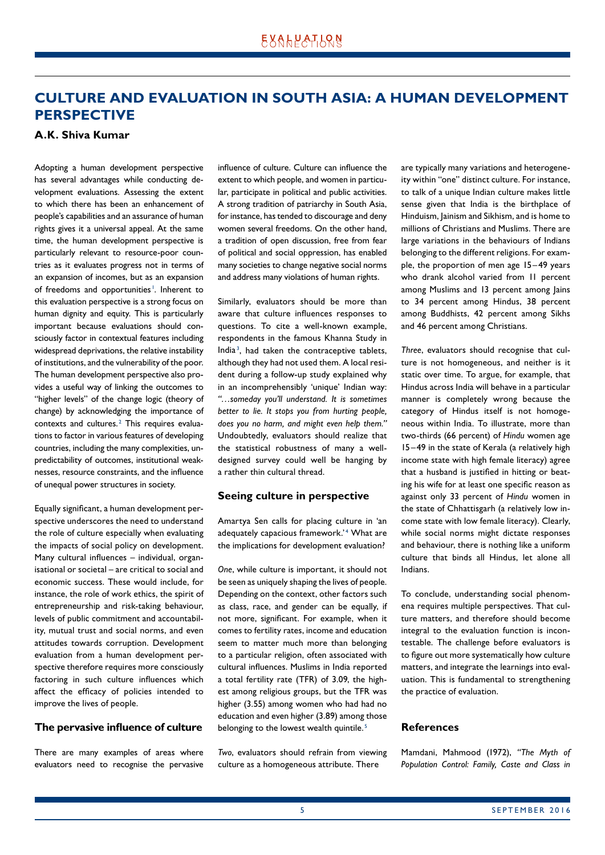## <span id="page-4-0"></span>**CULTURE AND EVALUATION IN SOUTH ASIA: A HUMAN DEVELOPMENT PERSPECTIVE**

#### **A.K. Shiva Kumar**

Adopting a human development perspective has several advantages while conducting development evaluations. Assessing the extent to which there has been an enhancement of people's capabilities and an assurance of human rights gives it a universal appeal. At the same time, the human development perspective is particularly relevant to resource-poor countries as it evaluates progress not in terms of an expansion of incomes, but as an expansion of freedoms and opportunities<sup>1</sup>. Inherent to this evaluation perspective is a strong focus on human dignity and equity. This is particularly important because evaluations should consciously factor in contextual features including widespread deprivations, the relative instability of institutions, and the vulnerability of the poor. The human development perspective also provides a useful way of linking the outcomes to "higher levels" of the change logic (theory of change) by acknowledging the importance of contexts and cultures.<sup>2</sup> This requires evaluations to factor in various features of developing countries, including the many complexities, unpredictability of outcomes, institutional weaknesses, resource constraints, and the influence of unequal power structures in society.

Equally significant, a human development per‑ spective underscores the need to understand the role of culture especially when evaluating the impacts of social policy on development. Many cultural influences – individual, organisational or societal – are critical to social and economic success. These would include, for instance, the role of work ethics, the spirit of entrepreneurship and risk-taking behaviour, levels of public commitment and accountability, mutual trust and social norms, and even attitudes towards corruption. Development evaluation from a human development perspective therefore requires more consciously factoring in such culture influences which affect the efficacy of policies intended to improve the lives of people.

#### **The pervasive influence of culture**

There are many examples of areas where evaluators need to recognise the pervasive influence of culture. Culture can influence the extent to which people, and women in particular, participate in political and public activities. A strong tradition of patriarchy in South Asia, for instance, has tended to discourage and deny women several freedoms. On the other hand, a tradition of open discussion, free from fear of political and social oppression, has enabled many societies to change negative social norms and address many violations of human rights.

Similarly, evaluators should be more than aware that culture influences responses to questions. To cite a well-known example, respondents in the famous Khanna Study in India<sup>3</sup>, had taken the contraceptive tablets, although they had not used them. A local resident during a follow-up study explained why in an incomprehensibly 'unique' Indian way: *"…someday you'll understand. It is sometimes better to lie. It stops you from hurting people, does you no harm, and might even help them."* Undoubtedly, evaluators should realize that the statistical robustness of many a welldesigned survey could well be hanging by a rather thin cultural thread.

#### **Seeing culture in perspective**

Amartya Sen calls for placing culture in 'an adequately capacious framework.'<sup>4</sup> What are the implications for development evaluation?

*One*, while culture is important, it should not be seen as uniquely shaping the lives of people. Depending on the context, other factors such as class, race, and gender can be equally, if not more, significant. For example, when it comes to fertility rates, income and education seem to matter much more than belonging to a particular religion, often associated with cultural influences. Muslims in India reported a total fertility rate (TFR) of 3.09, the highest among religious groups, but the TFR was higher (3.55) among women who had had no education and even higher (3.89) among those belonging to the lowest wealth quintile.<sup>5</sup>

*Two*, evaluators should refrain from viewing culture as a homogeneous attribute. There

are typically many variations and heterogeneity within "one" distinct culture. For instance, to talk of a unique Indian culture makes little sense given that India is the birthplace of Hinduism, Jainism and Sikhism, and is home to millions of Christians and Muslims. There are large variations in the behaviours of Indians belonging to the different religions. For example, the proportion of men age 15–49 years who drank alcohol varied from 11 percent among Muslims and 13 percent among Jains to 34 percent among Hindus, 38 percent among Buddhists, 42 percent among Sikhs and 46 percent among Christians.

*Three*, evaluators should recognise that cul‑ ture is not homogeneous, and neither is it static over time. To argue, for example, that Hindus across India will behave in a particular manner is completely wrong because the category of Hindus itself is not homogeneous within India. To illustrate, more than two-thirds (66 percent) of *Hindu* women age 15–49 in the state of Kerala (a relatively high income state with high female literacy) agree that a husband is justified in hitting or beating his wife for at least one specific reason as against only 33 percent of *Hindu* women in the state of Chhattisgarh (a relatively low income state with low female literacy). Clearly, while social norms might dictate responses and behaviour, there is nothing like a uniform culture that binds all Hindus, let alone all Indians.

To conclude, understanding social phenomena requires multiple perspectives. That culture matters, and therefore should become integral to the evaluation function is incontestable. The challenge before evaluators is to figure out more systematically how culture matters, and integrate the learnings into evaluation. This is fundamental to strengthening the practice of evaluation.

#### **References**

Mamdani, Mahmood (1972), *"The Myth of Population Control: Family, Caste and Class in*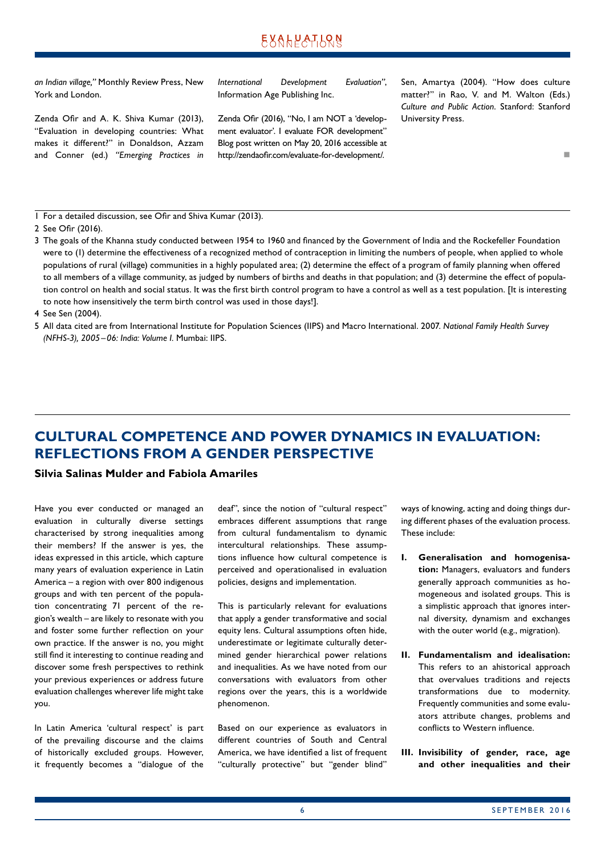<span id="page-5-0"></span>*an Indian village,"* Monthly Review Press, New York and London.

Zenda Ofir and A. K. Shiva Kumar (2013), "Evaluation in developing countries: What makes it different?" in Donaldson, Azzam and Conner (ed.) *"Emerging Practices in*  *International Development Evaluation"*, Information Age Publishing Inc.

Zenda Ofir (2016), "No, I am NOT a 'development evaluator'. I evaluate FOR development" Blog post written on May 20, 2016 accessible at http://zendaofir.com/evaluate-for-development/.

Sen, Amartya (2004). "How does culture matter?" in Rao, V. and M. Walton (Eds.) *Culture and Public Action*. Stanford: Stanford University Press.

n

1 For a detailed discussion, see Ofir and Shiva Kumar (2013).

3 The goals of the Khanna study conducted between 1954 to 1960 and financed by the Government of India and the Rockefeller Foundation were to (1) determine the effectiveness of a recognized method of contraception in limiting the numbers of people, when applied to whole populations of rural (village) communities in a highly populated area; (2) determine the effect of a program of family planning when offered to all members of a village community, as judged by numbers of births and deaths in that population; and (3) determine the effect of population control on health and social status. It was the first birth control program to have a control as well as a test population. [It is interesting to note how insensitively the term birth control was used in those days!].

4 See Sen (2004).

5 All data cited are from International Institute for Population Sciences (IIPS) and Macro International. 2007. *National Family Health Survey (NFHS-3), 2005–06: India: Volume I.* Mumbai: IIPS.

## **CULTURAL COMPETENCE AND POWER DYNAMICS IN EVALUATION: REFLECTIONS FROM A GENDER PERSPECTIVE**

#### **Silvia Salinas Mulder and Fabiola Amariles**

Have you ever conducted or managed an evaluation in culturally diverse settings characterised by strong inequalities among their members? If the answer is yes, the ideas expressed in this article, which capture many years of evaluation experience in Latin America – a region with over 800 indigenous groups and with ten percent of the population concentrating 71 percent of the re‑ gion's wealth – are likely to resonate with you and foster some further reflection on your own practice. If the answer is no, you might still find it interesting to continue reading and discover some fresh perspectives to rethink your previous experiences or address future evaluation challenges wherever life might take you.

In Latin America 'cultural respect' is part of the prevailing discourse and the claims of historically excluded groups. However, it frequently becomes a "dialogue of the

deaf", since the notion of "cultural respect" embraces different assumptions that range from cultural fundamentalism to dynamic intercultural relationships. These assumptions influence how cultural competence is perceived and operationalised in evaluation policies, designs and implementation.

This is particularly relevant for evaluations that apply a gender transformative and social equity lens. Cultural assumptions often hide, underestimate or legitimate culturally determined gender hierarchical power relations and inequalities. As we have noted from our conversations with evaluators from other regions over the years, this is a worldwide phenomenon.

Based on our experience as evaluators in different countries of South and Central America, we have identified a list of frequent "culturally protective" but "gender blind"

ways of knowing, acting and doing things during different phases of the evaluation process. These include:

- **I. Generalisation and homogenisation:** Managers, evaluators and funders generally approach communities as homogeneous and isolated groups. This is a simplistic approach that ignores internal diversity, dynamism and exchanges with the outer world (e.g., migration).
- **II. Fundamentalism and idealisation:** This refers to an ahistorical approach that overvalues traditions and rejects transformations due to modernity. Frequently communities and some evaluators attribute changes, problems and conflicts to Western influence.
- **III. Invisibility of gender, race, age and other inequalities and their**

<sup>2</sup> See Ofir (2016).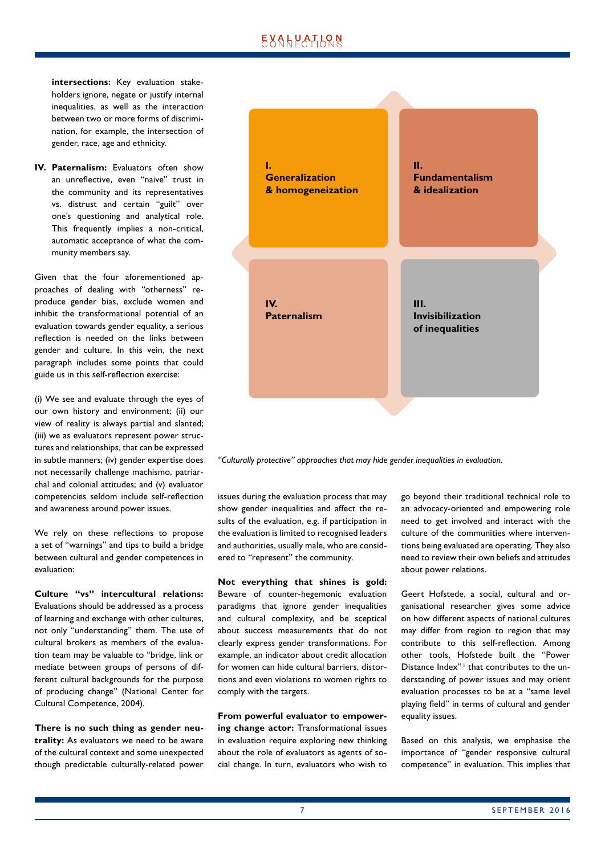intersections: Key evaluation stakeholders ignore, negate or justify internal inequalities, as well as the interaction between two or more forms of discrimination, for example, the intersection of gender, race, age and ethnicity.

**IV. Paternalism:** Evaluators often show an unreflective, even "naive" trust in the community and its representatives vs. distrust and certain "guilt" over one's questioning and analytical role. This frequently implies a non-critical, automatic acceptance of what the community members say.

Given that the four aforementioned approaches of dealing with "otherness" reproduce gender bias, exclude women and inhibit the transformational potential of an evaluation towards gender equality, a serious reflection is needed on the links between gender and culture. In this vein, the next paragraph includes some points that could guide us in this self-reflection exercise:

(i) We see and evaluate through the eyes of our own history and environment; (ii) our view of reality is always partial and slanted; (iii) we as evaluators represent power structures and relationships, that can be expressed in subtle manners; (iv) gender expertise does not necessarily challenge machismo, patriarchal and colonial attitudes; and (v) evaluator competencies seldom include self-reflection and awareness around power issues.

We rely on these reflections to propose a set of "warnings" and tips to build a bridge between cultural and gender competences in evaluation:

**Culture "vs" intercultural relations:** Evaluations should be addressed as a process of learning and exchange with other cultures, not only "understanding" them. The use of cultural brokers as members of the evaluation team may be valuable to "bridge, link or mediate between groups of persons of different cultural backgrounds for the purpose of producing change" (National Center for Cultural Competence, 2004).

**There is no such thing as gender neutrality:** As evaluators we need to be aware of the cultural context and some unexpected though predictable culturally-related power



*"Culturally protective" approaches that may hide gender inequalities in evaluation.*

issues during the evaluation process that may show gender inequalities and affect the results of the evaluation, e.g. if participation in the evaluation is limited to recognised leaders and authorities, usually male, who are considered to "represent" the community.

**Not everything that shines is gold:** Beware of counter-hegemonic evaluation paradigms that ignore gender inequalities and cultural complexity, and be sceptical about success measurements that do not clearly express gender transformations. For example, an indicator about credit allocation for women can hide cultural barriers, distortions and even violations to women rights to comply with the targets.

**From powerful evaluator to empowering change actor:** Transformational issues in evaluation require exploring new thinking about the role of evaluators as agents of social change. In turn, evaluators who wish to

go beyond their traditional technical role to an advocacy-oriented and empowering role need to get involved and interact with the culture of the communities where interventions being evaluated are operating. They also need to review their own beliefs and attitudes about power relations.

Geert Hofstede, a social, cultural and organisational researcher gives some advice on how different aspects of national cultures may differ from region to region that may contribute to this self-reflection. Among other tools, Hofstede built the "Power Distance Index"<sup>1</sup> that contributes to the understanding of power issues and may orient evaluation processes to be at a "same level playing field" in terms of cultural and gender equality issues.

Based on this analysis, we emphasise the importance of "gender responsive cultural competence" in evaluation. This implies that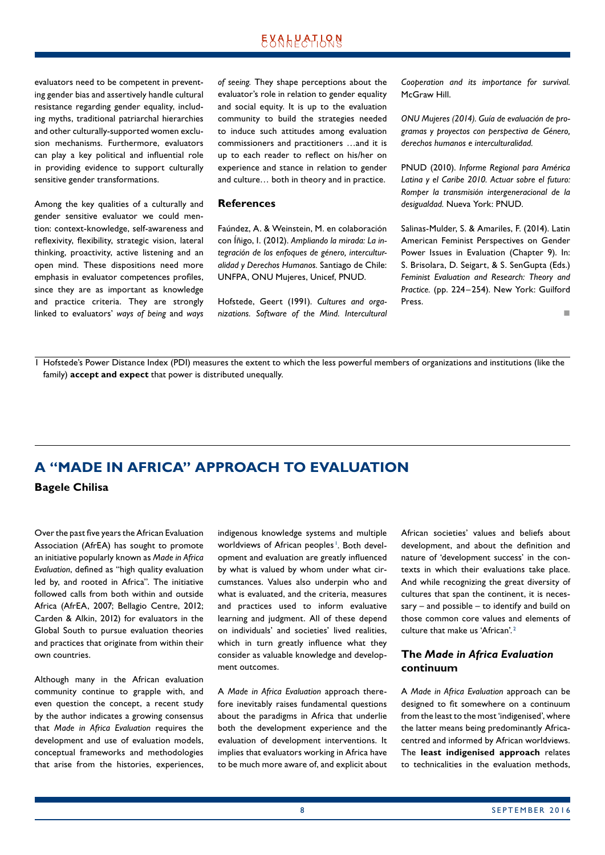<span id="page-7-0"></span>evaluators need to be competent in preventing gender bias and assertively handle cultural resistance regarding gender equality, including myths, traditional patriarchal hierarchies and other culturally-supported women exclusion mechanisms. Furthermore, evaluators can play a key political and influential role in providing evidence to support culturally sensitive gender transformations.

Among the key qualities of a culturally and gender sensitive evaluator we could mention: context-knowledge, self-awareness and reflexivity, flexibility, strategic vision, lateral thinking, proactivity, active listening and an open mind. These dispositions need more emphasis in evaluator competences profiles, since they are as important as knowledge and practice criteria. They are strongly linked to evaluators' *ways of being* and *ways*  *of seeing.* They shape perceptions about the evaluator's role in relation to gender equality and social equity. It is up to the evaluation community to build the strategies needed to induce such attitudes among evaluation commissioners and practitioners …and it is up to each reader to reflect on his/her on experience and stance in relation to gender and culture… both in theory and in practice.

#### **References**

Faúndez, A. & Weinstein, M. en colaboración con Íñigo, I. (2012). *Ampliando la mirada: La integración de los enfoques de género, interculturalidad y Derechos Humanos.* Santiago de Chile: UNFPA, ONU Mujeres, Unicef, PNUD.

Hofstede, Geert (1991). *Cultures and organizations. Software of the Mind. Intercultural*  *Cooperation and its importance for survival.*  McGraw Hill.

*ONU Mujeres (2014). Guía de evaluación de programas y proyectos con perspectiva de Género, derechos humanos e interculturalidad.* 

PNUD (2010). *Informe Regional para América Latina y el Caribe 2010. Actuar sobre el futuro: Romper la transmisión intergeneracional de la desigualdad.* Nueva York: PNUD.

Salinas-Mulder, S. & Amariles, F. (2014). Latin American Feminist Perspectives on Gender Power Issues in Evaluation (Chapter 9). In: S. Brisolara, D. Seigart, & S. SenGupta (Eds.) *Feminist Evaluation and Research: Theory and Practice.* (pp. 224–254). New York: Guilford Press.

n

1 Hofstede's Power Distance Index (PDI) measures the extent to which the less powerful members of organizations and institutions (like the family) **accept and expect** that power is distributed unequally.

## **A "MADE IN AFRICA" APPROACH TO EVALUATION**

**Bagele Chilisa**

Over the past five years the African Evaluation Association (AfrEA) has sought to promote an initiative popularly known as *Made in Africa Evaluation*, defined as "high quality evaluation led by, and rooted in Africa". The initiative followed calls from both within and outside Africa (AfrEA, 2007; Bellagio Centre, 2012; Carden & Alkin, 2012) for evaluators in the Global South to pursue evaluation theories and practices that originate from within their own countries.

Although many in the African evaluation community continue to grapple with, and even question the concept, a recent study by the author indicates a growing consensus that *Made in Africa Evaluation* requires the development and use of evaluation models, conceptual frameworks and methodologies that arise from the histories, experiences, indigenous knowledge systems and multiple worldviews of African peoples<sup>1</sup>. Both development and evaluation are greatly influenced by what is valued by whom under what circumstances. Values also underpin who and what is evaluated, and the criteria, measures and practices used to inform evaluative learning and judgment. All of these depend on individuals' and societies' lived realities, which in turn greatly influence what they consider as valuable knowledge and development outcomes.

A *Made in Africa Evaluation* approach there‑ fore inevitably raises fundamental questions about the paradigms in Africa that underlie both the development experience and the evaluation of development interventions. It implies that evaluators working in Africa have to be much more aware of, and explicit about

African societies' values and beliefs about development, and about the definition and nature of 'development success' in the contexts in which their evaluations take place. And while recognizing the great diversity of cultures that span the continent, it is necessary – and possible – to identify and build on those common core values and elements of culture that make us 'African'. <sup>2</sup>

#### **The** *Made in Africa Evaluation* **continuum**

A *Made in Africa Evaluation* approach can be designed to fit somewhere on a continuum from the least to the most 'indigenised', where the latter means being predominantly Africacentred and informed by African worldviews. The **least indigenised approach** relates to technicalities in the evaluation methods,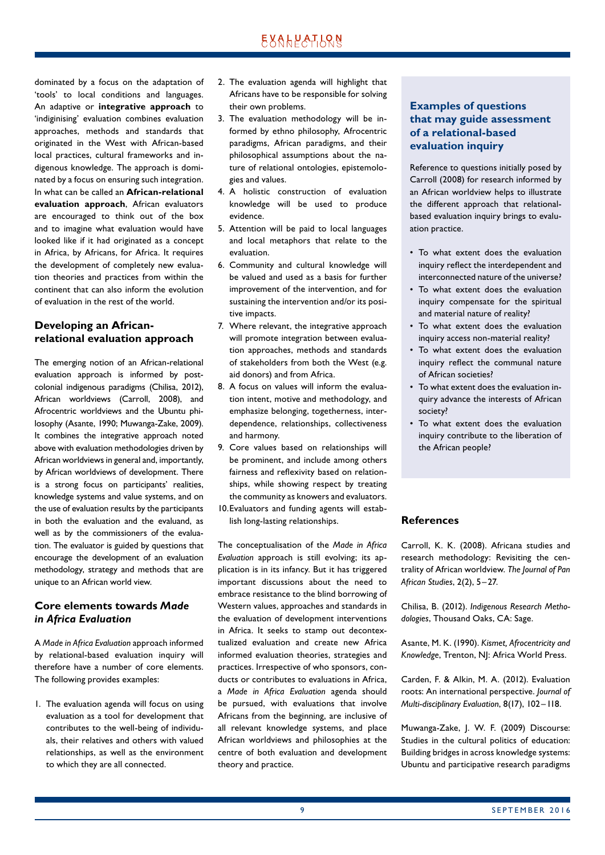dominated by a focus on the adaptation of 'tools' to local conditions and languages. An adaptive or **integrative approach** to 'indiginising' evaluation combines evaluation approaches, methods and standards that originated in the West with African-based local practices, cultural frameworks and indigenous knowledge. The approach is dominated by a focus on ensuring such integration. In what can be called an **African-relational evaluation approach**, African evaluators are encouraged to think out of the box and to imagine what evaluation would have looked like if it had originated as a concept in Africa, by Africans, for Africa. It requires the development of completely new evaluation theories and practices from within the continent that can also inform the evolution of evaluation in the rest of the world.

#### **Developing an Africanrelational evaluation approach**

The emerging notion of an African-relational evaluation approach is informed by postcolonial indigenous paradigms (Chilisa, 2012), African worldviews (Carroll, 2008), and Afrocentric worldviews and the Ubuntu philosophy (Asante, 1990; Muwanga-Zake, 2009). It combines the integrative approach noted above with evaluation methodologies driven by African worldviews in general and, importantly, by African worldviews of development. There is a strong focus on participants' realities, knowledge systems and value systems, and on the use of evaluation results by the participants in both the evaluation and the evaluand, as well as by the commissioners of the evaluation. The evaluator is guided by questions that encourage the development of an evaluation methodology, strategy and methods that are unique to an African world view.

#### **Core elements towards** *Made in Africa Evaluation*

A *Made in Africa Evaluation* approach informed by relational-based evaluation inquiry will therefore have a number of core elements. The following provides examples:

1. The evaluation agenda will focus on using evaluation as a tool for development that contributes to the well-being of individuals, their relatives and others with valued relationships, as well as the environment to which they are all connected.

- 2. The evaluation agenda will highlight that Africans have to be responsible for solving their own problems.
- 3. The evaluation methodology will be informed by ethno philosophy, Afrocentric paradigms, African paradigms, and their philosophical assumptions about the nature of relational ontologies, epistemologies and values.
- 4. A holistic construction of evaluation knowledge will be used to produce evidence.
- 5. Attention will be paid to local languages and local metaphors that relate to the evaluation.
- 6. Community and cultural knowledge will be valued and used as a basis for further improvement of the intervention, and for sustaining the intervention and/or its positive impacts.
- 7. Where relevant, the integrative approach will promote integration between evaluation approaches, methods and standards of stakeholders from both the West (e.g. aid donors) and from Africa.
- 8. A focus on values will inform the evaluation intent, motive and methodology, and emphasize belonging, togetherness, interdependence, relationships, collectiveness and harmony.
- 9. Core values based on relationships will be prominent, and include among others fairness and reflexivity based on relationships, while showing respect by treating the community as knowers and evaluators.
- 10. Evaluators and funding agents will establish long-lasting relationships.

The conceptualisation of the *Made in Africa Evaluation* approach is still evolving; its ap‑ plication is in its infancy. But it has triggered important discussions about the need to embrace resistance to the blind borrowing of Western values, approaches and standards in the evaluation of development interventions in Africa. It seeks to stamp out decontextualized evaluation and create new Africa informed evaluation theories, strategies and practices. Irrespective of who sponsors, conducts or contributes to evaluations in Africa, a *Made in Africa Evaluation* agenda should be pursued, with evaluations that involve Africans from the beginning, are inclusive of all relevant knowledge systems, and place African worldviews and philosophies at the centre of both evaluation and development theory and practice.

#### **Examples of questions that may guide assessment of a relational-based evaluation inquiry**

Reference to questions initially posed by Carroll (2008) for research informed by an African worldview helps to illustrate the different approach that relationalbased evaluation inquiry brings to evaluation practice.

- To what extent does the evaluation inquiry reflect the interdependent and interconnected nature of the universe?
- To what extent does the evaluation inquiry compensate for the spiritual and material nature of reality?
- To what extent does the evaluation inquiry access non-material reality?
- To what extent does the evaluation inquiry reflect the communal nature of African societies?
- To what extent does the evaluation inquiry advance the interests of African society?
- To what extent does the evaluation inquiry contribute to the liberation of the African people?

#### **References**

Carroll, K. K. (2008). Africana studies and research methodology: Revisiting the centrality of African worldview. *The Journal of Pan African Studies*, 2(2), 5–27.

Chilisa, B. (2012). *Indigenous Research Methodologies*, Thousand Oaks, CA: Sage.

Asante, M. K. (1990). *Kismet, Afrocentricity and Knowledge*, Trenton, NJ: Africa World Press.

Carden, F. & Alkin, M. A. (2012). Evaluation roots: An international perspective. *Journal of Multi-disciplinary Evaluation*, 8(17), 102–118.

Muwanga-Zake, J. W. F. (2009) Discourse: Studies in the cultural politics of education: Building bridges in across knowledge systems: Ubuntu and participative research paradigms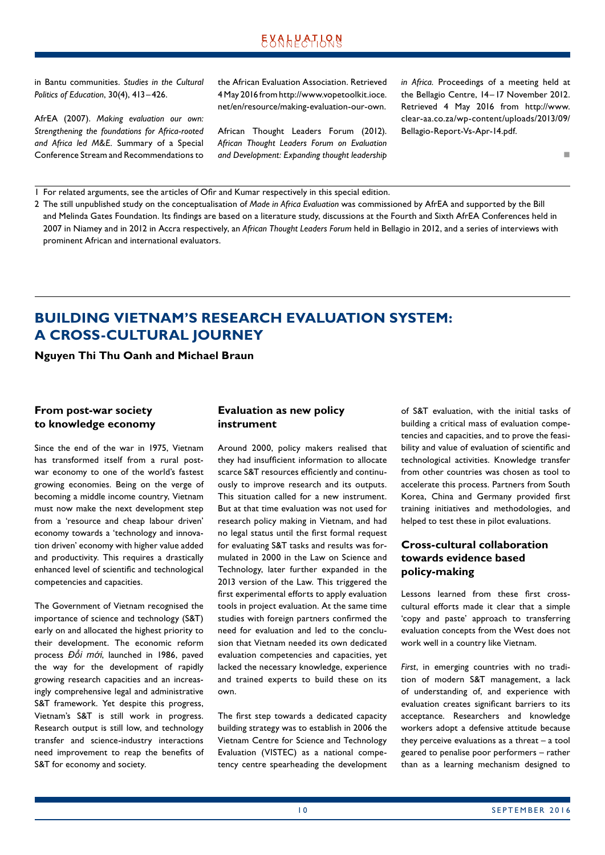<span id="page-9-0"></span>in Bantu communities. *Studies in the Cultural Politics of Education*, 30(4), 413–426.

AfrEA (2007). *Making evaluation our own: Strengthening the foundations for Africa-rooted and Africa led M&E.* Summary of a Special Conference Stream and Recommendations to the African Evaluation Association. Retrieved 4 May 2016 from http://www.vopetoolkit.ioce. net/en/resource/making-evaluation-our-own.

African Thought Leaders Forum (2012). *African Thought Leaders Forum on Evaluation and Development: Expanding thought leadership*  *in Africa.* Proceedings of a meeting held at the Bellagio Centre, 14–17 November 2012. Retrieved 4 May 2016 from http://www. clear-aa.co.za/wp-content/uploads/2013/09/ Bellagio-Report-Vs-Apr-14.pdf.

n

1 For related arguments, see the articles of Ofir and Kumar respectively in this special edition.

2 The still unpublished study on the conceptualisation of *Made in Africa Evaluation* was commissioned by AfrEA and supported by the Bill and Melinda Gates Foundation. Its findings are based on a literature study, discussions at the Fourth and Sixth AfrEA Conferences held in 2007 in Niamey and in 2012 in Accra respectively, an *African Thought Leaders Forum* held in Bellagio in 2012, and a series of interviews with prominent African and international evaluators.

## **BUILDING VIETNAM'S RESEARCH EVALUATION SYSTEM: A CROSS-CULTURAL JOURNEY**

**Nguyen Thi Thu Oanh and Michael Braun**

#### **From post-war society to knowledge economy**

Since the end of the war in 1975, Vietnam has transformed itself from a rural postwar economy to one of the world's fastest growing economies. Being on the verge of becoming a middle income country, Vietnam must now make the next development step from a 'resource and cheap labour driven' economy towards a 'technology and innovation driven' economy with higher value added and productivity. This requires a drastically enhanced level of scientific and technological competencies and capacities.

The Government of Vietnam recognised the importance of science and technology (S&T) early on and allocated the highest priority to their development. The economic reform process *Đổi mới*, launched in 1986, paved the way for the development of rapidly growing research capacities and an increasingly comprehensive legal and administrative S&T framework. Yet despite this progress, Vietnam's S&T is still work in progress. Research output is still low, and technology transfer and science-industry interactions need improvement to reap the benefits of S&T for economy and society.

#### **Evaluation as new policy instrument**

Around 2000, policy makers realised that they had insufficient information to allocate scarce S&T resources efficiently and continuously to improve research and its outputs. This situation called for a new instrument. But at that time evaluation was not used for research policy making in Vietnam, and had no legal status until the first formal request for evaluating S&T tasks and results was formulated in 2000 in the Law on Science and Technology, later further expanded in the 2013 version of the Law. This triggered the first experimental efforts to apply evaluation tools in project evaluation. At the same time studies with foreign partners confirmed the need for evaluation and led to the conclusion that Vietnam needed its own dedicated evaluation competencies and capacities, yet lacked the necessary knowledge, experience and trained experts to build these on its own.

The first step towards a dedicated capacity building strategy was to establish in 2006 the Vietnam Centre for Science and Technology Evaluation (VISTEC) as a national competency centre spearheading the development of S&T evaluation, with the initial tasks of building a critical mass of evaluation competencies and capacities, and to prove the feasibility and value of evaluation of scientific and technological activities. Knowledge transfer from other countries was chosen as tool to accelerate this process. Partners from South Korea, China and Germany provided first training initiatives and methodologies, and helped to test these in pilot evaluations.

#### **Cross-cultural collaboration towards evidence based policy-making**

Lessons learned from these first crosscultural efforts made it clear that a simple 'copy and paste' approach to transferring evaluation concepts from the West does not work well in a country like Vietnam.

*First*, in emerging countries with no tradi‑ tion of modern S&T management, a lack of understanding of, and experience with evaluation creates significant barriers to its acceptance. Researchers and knowledge workers adopt a defensive attitude because they perceive evaluations as a threat – a tool geared to penalise poor performers – rather than as a learning mechanism designed to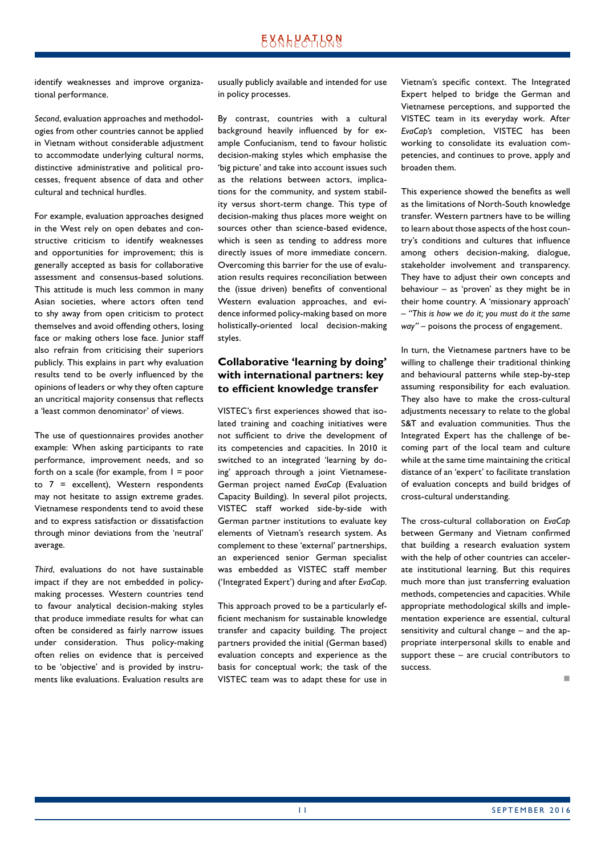identify weaknesses and improve organizational performance.

Second, evaluation approaches and methodologies from other countries cannot be applied in Vietnam without considerable adjustment to accommodate underlying cultural norms, distinctive administrative and political processes, frequent absence of data and other cultural and technical hurdles.

For example, evaluation approaches designed in the West rely on open debates and constructive criticism to identify weaknesses and opportunities for improvement; this is generally accepted as basis for collaborative assessment and consensus-based solutions. This attitude is much less common in many Asian societies, where actors often tend to shy away from open criticism to protect themselves and avoid offending others, losing face or making others lose face. Junior staff also refrain from criticising their superiors publicly. This explains in part why evaluation results tend to be overly influenced by the opinions of leaders or why they often capture an uncritical majority consensus that reflects a 'least common denominator' of views.

The use of questionnaires provides another example: When asking participants to rate performance, improvement needs, and so forth on a scale (for example, from  $1 = poor$ to  $7$  = excellent), Western respondents may not hesitate to assign extreme grades. Vietnamese respondents tend to avoid these and to express satisfaction or dissatisfaction through minor deviations from the 'neutral' average.

*Third*, evaluations do not have sustainable impact if they are not embedded in policymaking processes. Western countries tend to favour analytical decision-making styles that produce immediate results for what can often be considered as fairly narrow issues under consideration. Thus policy-making often relies on evidence that is perceived to be 'objective' and is provided by instruments like evaluations. Evaluation results are

usually publicly available and intended for use in policy processes.

By contrast, countries with a cultural background heavily influenced by for example Confucianism, tend to favour holistic decision-making styles which emphasise the 'big picture' and take into account issues such as the relations between actors, implications for the community, and system stability versus short-term change. This type of decision-making thus places more weight on sources other than science-based evidence, which is seen as tending to address more directly issues of more immediate concern. Overcoming this barrier for the use of evaluation results requires reconciliation between the (issue driven) benefits of conventional Western evaluation approaches, and evidence informed policy-making based on more holistically-oriented local decision-making styles.

#### **Collaborative 'learning by doing' with international partners: key to efficient knowledge transfer**

VISTEC's first experiences showed that isolated training and coaching initiatives were not sufficient to drive the development of its competencies and capacities. In 2010 it switched to an integrated 'learning by doing' approach through a joint Vietnamese-German project named *EvaCap* (Evaluation Capacity Building). In several pilot projects, VISTEC staff worked side-by-side with German partner institutions to evaluate key elements of Vietnam's research system. As complement to these 'external' partnerships, an experienced senior German specialist was embedded as VISTEC staff member ('Integrated Expert') during and after *EvaCap*.

This approach proved to be a particularly efficient mechanism for sustainable knowledge transfer and capacity building. The project partners provided the initial (German based) evaluation concepts and experience as the basis for conceptual work; the task of the VISTEC team was to adapt these for use in Vietnam's specific context. The Integrated Expert helped to bridge the German and Vietnamese perceptions, and supported the VISTEC team in its everyday work. After *EvaCap's* completion, VISTEC has been working to consolidate its evaluation competencies, and continues to prove, apply and broaden them.

This experience showed the benefits as well as the limitations of North-South knowledge transfer. Western partners have to be willing to learn about those aspects of the host country's conditions and cultures that influence among others decision-making, dialogue, stakeholder involvement and transparency. They have to adjust their own concepts and behaviour – as 'proven' as they might be in their home country. A 'missionary approach' – *"This is how we do it; you must do it the same way"* – poisons the process of engagement.

In turn, the Vietnamese partners have to be willing to challenge their traditional thinking and behavioural patterns while step-by-step assuming responsibility for each evaluation. They also have to make the cross-cultural adjustments necessary to relate to the global S&T and evaluation communities. Thus the Integrated Expert has the challenge of be‑ coming part of the local team and culture while at the same time maintaining the critical distance of an 'expert' to facilitate translation of evaluation concepts and build bridges of cross-cultural understanding.

The cross-cultural collaboration on *EvaCap* between Germany and Vietnam confirmed that building a research evaluation system with the help of other countries can accelerate institutional learning. But this requires much more than just transferring evaluation methods, competencies and capacities. While appropriate methodological skills and implementation experience are essential, cultural sensitivity and cultural change – and the appropriate interpersonal skills to enable and support these – are crucial contributors to success.

n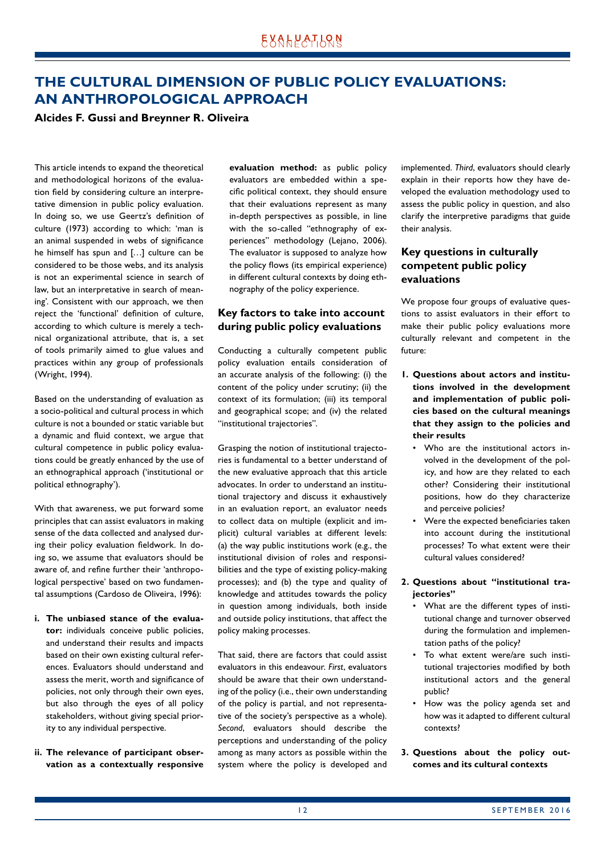## <span id="page-11-0"></span>**THE CULTURAL DIMENSION OF PUBLIC POLICY EVALUATIONS: AN ANTHROPOLOGICAL APPROACH**

#### **Alcides F. Gussi and Breynner R. Oliveira**

This article intends to expand the theoretical and methodological horizons of the evaluation field by considering culture an interpretative dimension in public policy evaluation. In doing so, we use Geertz's definition of culture (1973) according to which: 'man is an animal suspended in webs of significance he himself has spun and […] culture can be considered to be those webs, and its analysis is not an experimental science in search of law, but an interpretative in search of meaning'. Consistent with our approach, we then reject the 'functional' definition of culture, according to which culture is merely a technical organizational attribute, that is, a set of tools primarily aimed to glue values and practices within any group of professionals (Wright, 1994).

Based on the understanding of evaluation as a socio-political and cultural process in which culture is not a bounded or static variable but a dynamic and fluid context, we argue that cultural competence in public policy evaluations could be greatly enhanced by the use of an ethnographical approach ('institutional or political ethnography').

With that awareness, we put forward some principles that can assist evaluators in making sense of the data collected and analysed during their policy evaluation fieldwork. In doing so, we assume that evaluators should be aware of, and refine further their 'anthropological perspective' based on two fundamental assumptions (Cardoso de Oliveira, 1996):

- **i. The unbiased stance of the evaluator:** individuals conceive public policies, and understand their results and impacts based on their own existing cultural references. Evaluators should understand and assess the merit, worth and significance of policies, not only through their own eyes, but also through the eyes of all policy stakeholders, without giving special priority to any individual perspective.
- **ii. The relevance of participant observation as a contextually responsive**

**evaluation method:** as public policy evaluators are embedded within a specific political context, they should ensure that their evaluations represent as many in-depth perspectives as possible, in line with the so-called "ethnography of experiences" methodology (Lejano, 2006). The evaluator is supposed to analyze how the policy flows (its empirical experience) in different cultural contexts by doing ethnography of the policy experience.

#### **Key factors to take into account during public policy evaluations**

Conducting a culturally competent public policy evaluation entails consideration of an accurate analysis of the following: (i) the content of the policy under scrutiny; (ii) the context of its formulation; (iii) its temporal and geographical scope; and (iv) the related "institutional trajectories".

Grasping the notion of institutional trajectories is fundamental to a better understand of the new evaluative approach that this article advocates. In order to understand an institutional trajectory and discuss it exhaustively in an evaluation report, an evaluator needs to collect data on multiple (explicit and implicit) cultural variables at different levels: (a) the way public institutions work (e.g., the institutional division of roles and responsibilities and the type of existing policy-making processes); and (b) the type and quality of knowledge and attitudes towards the policy in question among individuals, both inside and outside policy institutions, that affect the policy making processes.

That said, there are factors that could assist evaluators in this endeavour. *First*, evaluators should be aware that their own understanding of the policy (i.e., their own understanding of the policy is partial, and not representative of the society's perspective as a whole). *Second*, evaluators should describe the perceptions and understanding of the policy among as many actors as possible within the system where the policy is developed and

implemented. *Third*, evaluators should clearly explain in their reports how they have developed the evaluation methodology used to assess the public policy in question, and also clarify the interpretive paradigms that guide their analysis.

#### **Key questions in culturally competent public policy evaluations**

We propose four groups of evaluative questions to assist evaluators in their effort to make their public policy evaluations more culturally relevant and competent in the future:

- **1. Questions about actors and institutions involved in the development and implementation of public policies based on the cultural meanings that they assign to the policies and their results**
	- Who are the institutional actors involved in the development of the policy, and how are they related to each other? Considering their institutional positions, how do they characterize and perceive policies?
	- Were the expected beneficiaries taken into account during the institutional processes? To what extent were their cultural values considered?

#### **2. Questions about "institutional trajectories"**

- What are the different types of institutional change and turnover observed during the formulation and implementation paths of the policy?
- To what extent were/are such institutional trajectories modified by both institutional actors and the general public?
- How was the policy agenda set and how was it adapted to different cultural contexts?
- **3. Questions about the policy outcomes and its cultural contexts**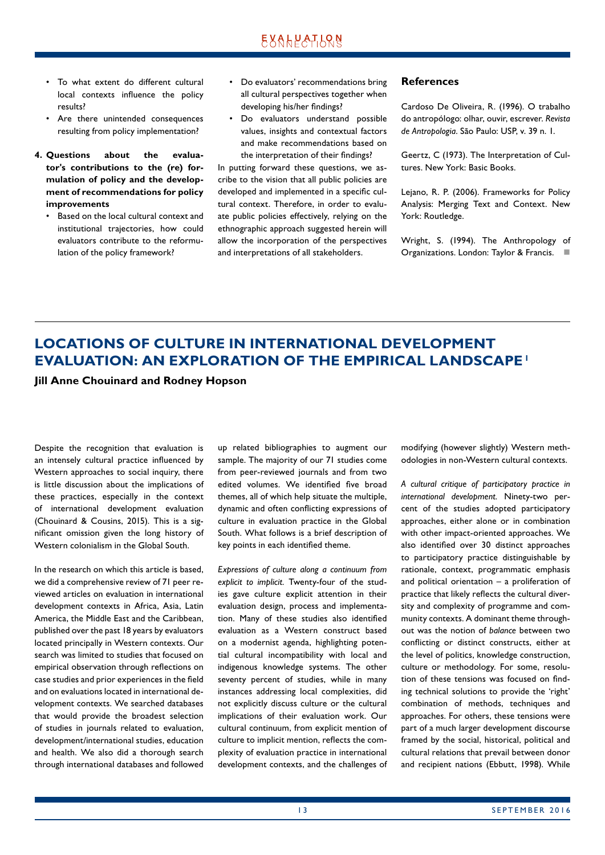- <span id="page-12-0"></span>• To what extent do different cultural local contexts influence the policy results?
- Are there unintended consequences resulting from policy implementation?
- **4. Questions about the evaluator's contributions to the (re) formulation of policy and the development of recommendations for policy improvements**
	- Based on the local cultural context and institutional trajectories, how could evaluators contribute to the reformulation of the policy framework?
- Do evaluators' recommendations bring all cultural perspectives together when developing his/her findings?
- Do evaluators understand possible values, insights and contextual factors and make recommendations based on the interpretation of their findings?

In putting forward these questions, we ascribe to the vision that all public policies are developed and implemented in a specific cultural context. Therefore, in order to evaluate public policies effectively, relying on the ethnographic approach suggested herein will allow the incorporation of the perspectives and interpretations of all stakeholders.

#### **References**

Cardoso De Oliveira, R. (1996). O trabalho do antropólogo: olhar, ouvir, escrever. *Revista de Antropologia*. São Paulo: USP, v. 39 n. 1.

Geertz, C (1973). The Interpretation of Cultures. New York: Basic Books.

Lejano, R. P. (2006). Frameworks for Policy Analysis: Merging Text and Context. New York: Routledge.

Wright, S. (1994). The Anthropology of Organizations. London: Taylor & Francis.  $\Box$ 

## **LOCATIONS OF CULTURE IN INTERNATIONAL DEVELOPMENT EVALUATION: AN EXPLORATION OF THE EMPIRICAL LANDSCAPE1**

**Jill Anne Chouinard and Rodney Hopson**

Despite the recognition that evaluation is an intensely cultural practice influenced by Western approaches to social inquiry, there is little discussion about the implications of these practices, especially in the context of international development evaluation (Chouinard & Cousins, 2015). This is a significant omission given the long history of Western colonialism in the Global South.

In the research on which this article is based, we did a comprehensive review of 71 peer reviewed articles on evaluation in international development contexts in Africa, Asia, Latin America, the Middle East and the Caribbean, published over the past 18 years by evaluators located principally in Western contexts. Our search was limited to studies that focused on empirical observation through reflections on case studies and prior experiences in the field and on evaluations located in international de‑ velopment contexts. We searched databases that would provide the broadest selection of studies in journals related to evaluation, development/international studies, education and health. We also did a thorough search through international databases and followed up related bibliographies to augment our sample. The majority of our 71 studies come from peer-reviewed journals and from two edited volumes. We identified five broad themes, all of which help situate the multiple, dynamic and often conflicting expressions of culture in evaluation practice in the Global South. What follows is a brief description of key points in each identified theme.

*Expressions of culture along a continuum from*  explicit to implicit. Twenty-four of the studies gave culture explicit attention in their evaluation design, process and implementation. Many of these studies also identified evaluation as a Western construct based on a modernist agenda, highlighting potential cultural incompatibility with local and indigenous knowledge systems. The other seventy percent of studies, while in many instances addressing local complexities, did not explicitly discuss culture or the cultural implications of their evaluation work. Our cultural continuum, from explicit mention of culture to implicit mention, reflects the complexity of evaluation practice in international development contexts, and the challenges of modifying (however slightly) Western meth‑ odologies in non-Western cultural contexts.

*A cultural critique of participatory practice in international development.* Ninety-two per‑ cent of the studies adopted participatory approaches, either alone or in combination with other impact-oriented approaches. We also identified over 30 distinct approaches to participatory practice distinguishable by rationale, context, programmatic emphasis and political orientation – a proliferation of practice that likely reflects the cultural diversity and complexity of programme and community contexts. A dominant theme throughout was the notion of *balance* between two conflicting or distinct constructs, either at the level of politics, knowledge construction, culture or methodology. For some, resolution of these tensions was focused on finding technical solutions to provide the 'right' combination of methods, techniques and approaches. For others, these tensions were part of a much larger development discourse framed by the social, historical, political and cultural relations that prevail between donor and recipient nations (Ebbutt, 1998). While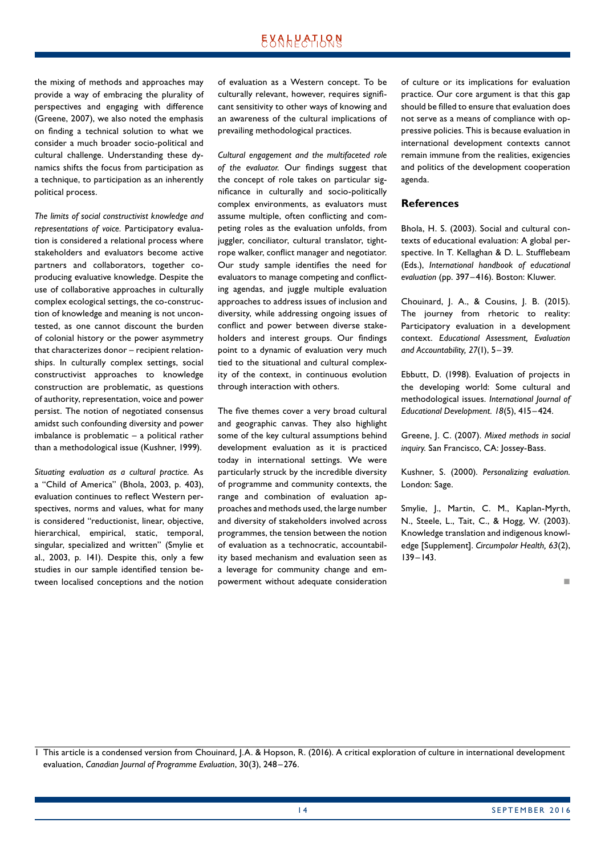the mixing of methods and approaches may provide a way of embracing the plurality of perspectives and engaging with difference (Greene, 2007), we also noted the emphasis on finding a technical solution to what we consider a much broader socio-political and cultural challenge. Understanding these dynamics shifts the focus from participation as a technique, to participation as an inherently political process.

*The limits of social constructivist knowledge and*  representations of voice. Participatory evaluation is considered a relational process where stakeholders and evaluators become active partners and collaborators, together coproducing evaluative knowledge. Despite the use of collaborative approaches in culturally complex ecological settings, the co-construction of knowledge and meaning is not uncontested, as one cannot discount the burden of colonial history or the power asymmetry that characterizes donor - recipient relationships. In culturally complex settings, social constructivist approaches to knowledge construction are problematic, as questions of authority, representation, voice and power persist. The notion of negotiated consensus amidst such confounding diversity and power imbalance is problematic – a political rather than a methodological issue (Kushner, 1999).

*Situating evaluation as a cultural practice.* As a "Child of America" (Bhola, 2003, p. 403), evaluation continues to reflect Western perspectives, norms and values, what for many is considered "reductionist, linear, objective, hierarchical, empirical, static, temporal, singular, specialized and written" (Smylie et al., 2003, p. 141). Despite this, only a few studies in our sample identified tension between localised conceptions and the notion of evaluation as a Western concept. To be culturally relevant, however, requires significant sensitivity to other ways of knowing and an awareness of the cultural implications of prevailing methodological practices.

*Cultural engagement and the multifaceted role of the evaluator.* Our findings suggest that the concept of role takes on particular significance in culturally and socio-politically complex environments, as evaluators must assume multiple, often conflicting and competing roles as the evaluation unfolds, from juggler, conciliator, cultural translator, tightrope walker, conflict manager and negotiator. Our study sample identifies the need for evaluators to manage competing and conflicting agendas, and juggle multiple evaluation approaches to address issues of inclusion and diversity, while addressing ongoing issues of conflict and power between diverse stakeholders and interest groups. Our findings point to a dynamic of evaluation very much tied to the situational and cultural complexity of the context, in continuous evolution through interaction with others.

The five themes cover a very broad cultural and geographic canvas. They also highlight some of the key cultural assumptions behind development evaluation as it is practiced today in international settings. We were particularly struck by the incredible diversity of programme and community contexts, the range and combination of evaluation approaches and methods used, the large number and diversity of stakeholders involved across programmes, the tension between the notion of evaluation as a technocratic, accountability based mechanism and evaluation seen as a leverage for community change and empowerment without adequate consideration of culture or its implications for evaluation practice. Our core argument is that this gap should be filled to ensure that evaluation does not serve as a means of compliance with oppressive policies. This is because evaluation in international development contexts cannot remain immune from the realities, exigencies and politics of the development cooperation agenda.

#### **References**

Bhola, H. S. (2003). Social and cultural contexts of educational evaluation: A global perspective. In T. Kellaghan & D. L. Stufflebeam (Eds.), *International handbook of educational evaluation* (pp. 397–416). Boston: Kluwer.

Chouinard, J. A., & Cousins, J. B. (2015). The journey from rhetoric to reality: Participatory evaluation in a development context. *Educational Assessment, Evaluation and Accountability, 27*(1), 5–39.

Ebbutt, D. (1998). Evaluation of projects in the developing world: Some cultural and methodological issues. *International Journal of Educational Development. 18*(5), 415–424.

Greene, J. C. (2007). *Mixed methods in social inquiry.* San Francisco, CA: Jossey-Bass.

Kushner, S. (2000). *Personalizing evaluation.*  London: Sage.

Smylie, J., Martin, C. M., Kaplan-Myrth, N., Steele, L., Tait, C., & Hogg, W. (2003). Knowledge translation and indigenous knowledge [Supplement]. *Circumpolar Health, 63*(2), 139–143.

1 This article is a condensed version from Chouinard, J.A. & Hopson, R. (2016). A critical exploration of culture in international development evaluation, *Canadian Journal of Programme Evaluation*, 30(3), 248–276.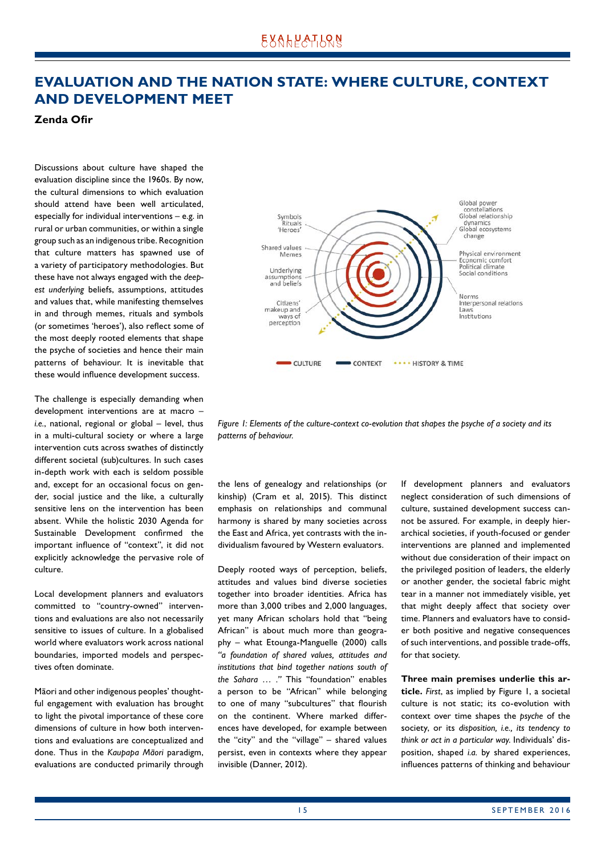## <span id="page-14-0"></span>**EVALUATION AND THE NATION STATE: WHERE CULTURE, CONTEXT AND DEVELOPMENT MEET**

#### **Zenda Ofir**

Discussions about culture have shaped the evaluation discipline since the 1960s. By now, the cultural dimensions to which evaluation should attend have been well articulated, especially for individual interventions – e.g. in rural or urban communities, or within a single group such as an indigenous tribe. Recognition that culture matters has spawned use of a variety of participatory methodologies. But these have not always engaged with the *deepest underlying* beliefs, assumptions, attitudes and values that, while manifesting themselves in and through memes, rituals and symbols (or sometimes 'heroes'), also reflect some of the most deeply rooted elements that shape the psyche of societies and hence their main patterns of behaviour. It is inevitable that these would influence development success.

The challenge is especially demanding when development interventions are at macro – *i.e.*, national, regional or global – level, thus in a multi-cultural society or where a large intervention cuts across swathes of distinctly different societal (sub)cultures. In such cases in-depth work with each is seldom possible and, except for an occasional focus on gender, social justice and the like, a culturally sensitive lens on the intervention has been absent. While the holistic 2030 Agenda for Sustainable Development confirmed the important influence of "context", it did not explicitly acknowledge the pervasive role of culture.

Local development planners and evaluators committed to "country-owned" interventions and evaluations are also not necessarily sensitive to issues of culture. In a globalised world where evaluators work across national boundaries, imported models and perspectives often dominate.

Māori and other indigenous peoples' thoughtful engagement with evaluation has brought to light the pivotal importance of these core dimensions of culture in how both interventions and evaluations are conceptualized and done. Thus in the *Kaupapa Māori* paradigm, evaluations are conducted primarily through



*Figure 1: Elements of the culture-context co-evolution that shapes the psyche of a society and its patterns of behaviour.* 

the lens of genealogy and relationships (or kinship) (Cram et al, 2015). This distinct emphasis on relationships and communal harmony is shared by many societies across the East and Africa, yet contrasts with the individualism favoured by Western evaluators.

Deeply rooted ways of perception, beliefs, attitudes and values bind diverse societies together into broader identities. Africa has more than 3,000 tribes and 2,000 languages, yet many African scholars hold that "being African" is about much more than geography – what Etounga-Manguelle (2000) calls *"a foundation of shared values, attitudes and institutions that bind together nations south of the Sahara … ."* This "foundation" enables a person to be "African" while belonging to one of many "subcultures" that flourish on the continent. Where marked differences have developed, for example between the "city" and the "village" – shared values persist, even in contexts where they appear invisible (Danner, 2012).

If development planners and evaluators neglect consideration of such dimensions of culture, sustained development success cannot be assured. For example, in deeply hierarchical societies, if youth-focused or gender interventions are planned and implemented without due consideration of their impact on the privileged position of leaders, the elderly or another gender, the societal fabric might tear in a manner not immediately visible, yet that might deeply affect that society over time. Planners and evaluators have to consider both positive and negative consequences of such interventions, and possible trade-offs, for that society.

**Three main premises underlie this article.** *First*, as implied by Figure 1, a societal culture is not static; its co-evolution with context over time shapes the *psyche* of the society, or its *disposition, i.e., its tendency to think or act in a particular way*. Individuals' dis‑ position, shaped *i.a.* by shared experiences, influences patterns of thinking and behaviour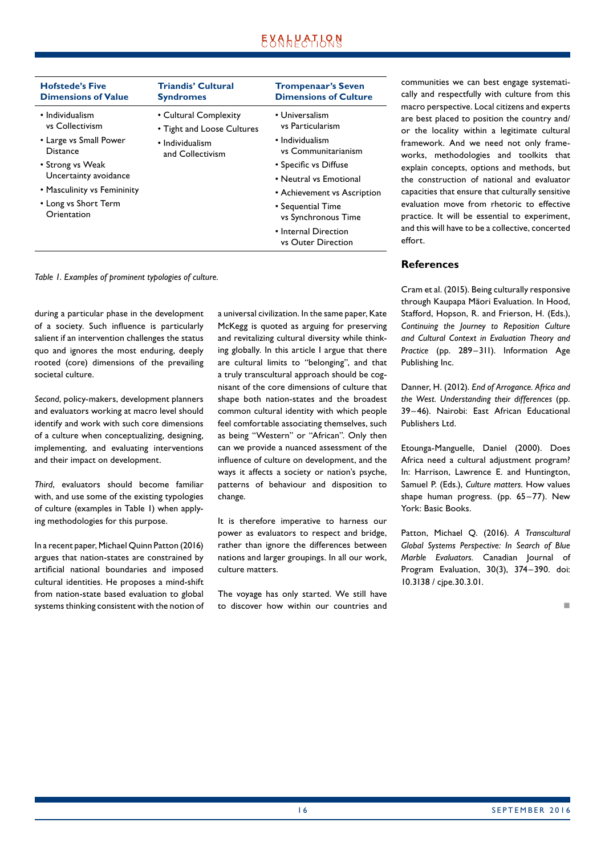| <b>Hofstede's Five</b><br><b>Dimensions of Value</b>                                                                                                                                        | <b>Triandis' Cultural</b><br><b>Syndromes</b>                                              | <b>Trompenaar's Seven</b><br><b>Dimensions of Culture</b>                                                                                                                                                                                                |
|---------------------------------------------------------------------------------------------------------------------------------------------------------------------------------------------|--------------------------------------------------------------------------------------------|----------------------------------------------------------------------------------------------------------------------------------------------------------------------------------------------------------------------------------------------------------|
| • Individualism<br>vs Collectivism<br>• Large vs Small Power<br>Distance<br>• Strong vs Weak<br>Uncertainty avoidance<br>• Masculinity vs Femininity<br>• Long vs Short Term<br>Orientation | • Cultural Complexity<br>• Tight and Loose Cultures<br>• Individualism<br>and Collectivism | • Universalism<br>vs Particularism<br>• Individualism<br>vs Communitarianism<br>• Specific vs Diffuse<br>• Neutral vs Emotional<br>• Achievement vs Ascription<br>• Sequential Time<br>vs Synchronous Time<br>• Internal Direction<br>vs Outer Direction |
|                                                                                                                                                                                             |                                                                                            |                                                                                                                                                                                                                                                          |

*Table 1. Examples of prominent typologies of culture.*

during a particular phase in the development of a society. Such influence is particularly salient if an intervention challenges the status quo and ignores the most enduring, deeply rooted (core) dimensions of the prevailing societal culture.

*Second*, policy-makers, development planners and evaluators working at macro level should identify and work with such core dimensions of a culture when conceptualizing, designing, implementing, and evaluating interventions and their impact on development.

*Third*, evaluators should become familiar with, and use some of the existing typologies of culture (examples in Table 1) when applying methodologies for this purpose.

In a recent paper, Michael Quinn Patton (2016) argues that nation-states are constrained by artificial national boundaries and imposed cultural identities. He proposes a mind-shift from nation-state based evaluation to global systems thinking consistent with the notion of a universal civilization. In the same paper, Kate McKegg is quoted as arguing for preserving and revitalizing cultural diversity while thinking globally. In this article I argue that there are cultural limits to "belonging", and that a truly transcultural approach should be cognisant of the core dimensions of culture that shape both nation-states and the broadest common cultural identity with which people feel comfortable associating themselves, such as being "Western" or "African". Only then can we provide a nuanced assessment of the influence of culture on development, and the ways it affects a society or nation's psyche, patterns of behaviour and disposition to change.

It is therefore imperative to harness our power as evaluators to respect and bridge, rather than ignore the differences between nations and larger groupings. In all our work, culture matters.

The voyage has only started. We still have to discover how within our countries and

communities we can best engage systematically and respectfully with culture from this macro perspective. Local citizens and experts are best placed to position the country and/ or the locality within a legitimate cultural framework. And we need not only frameworks, methodologies and toolkits that explain concepts, options and methods, but the construction of national and evaluator capacities that ensure that culturally sensitive evaluation move from rhetoric to effective practice. It will be essential to experiment, and this will have to be a collective, concerted effort.

#### **References**

Cram et al. (2015). Being culturally responsive through Kaupapa Māori Evaluation. In Hood, Stafford, Hopson, R. and Frierson, H. (Eds.), *Continuing the Journey to Reposition Culture and Cultural Context in Evaluation Theory and Practice* (pp. 289–311). Information Age Publishing Inc.

Danner, H. (2012). *End of Arrogance. Africa and the West. Understanding their differences* (pp. 39–46). Nairobi: East African Educational Publishers Ltd.

Etounga-Manguelle, Daniel (2000). Does Africa need a cultural adjustment program? In: Harrison, Lawrence E. and Huntington, Samuel P. (Eds.), *Culture matters.* How values shape human progress. (pp. 65–77). New York: Basic Books.

Patton, Michael Q. (2016). *A Transcultural Global Systems Perspective: In Search of Blue Marble Evaluators.* Canadian Journal of Program Evaluation, 30(3), 374–390. doi: 10.3138 / cjpe.30.3.01.

n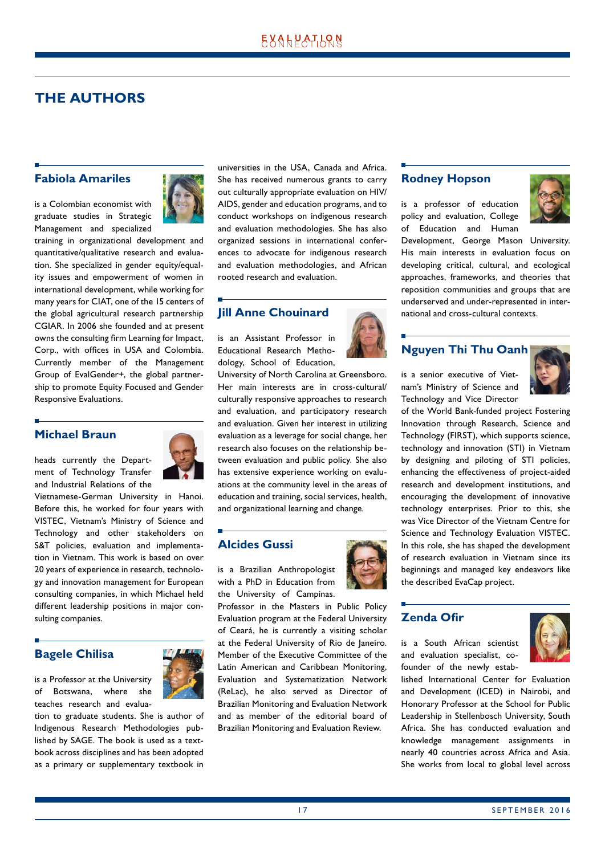## <span id="page-16-0"></span>**THE AUTHORS**

#### **Fabiola Amariles**

is a Colombian economist with graduate studies in Strategic Management and specialized



training in organizational development and quantitative/qualitative research and evaluation. She specialized in gender equity/equality issues and empowerment of women in international development, while working for many years for CIAT, one of the 15 centers of the global agricultural research partnership CGIAR. In 2006 she founded and at present owns the consulting firm Learning for Impact, Corp., with offices in USA and Colombia. Currently member of the Management Group of EvalGender+, the global partnership to promote Equity Focused and Gender Responsive Evaluations.

#### **Michael Braun**

heads currently the Department of Technology Transfer



and Industrial Relations of the Vietnamese-German University in Hanoi. Before this, he worked for four years with VISTEC, Vietnam's Ministry of Science and Technology and other stakeholders on S&T policies, evaluation and implementation in Vietnam. This work is based on over 20 years of experience in research, technology and innovation management for European

consulting companies, in which Michael held different leadership positions in major con-

**Bagele Chilisa** 

sulting companies.

is a Professor at the University of Botswana, where she teaches research and evalua-



tion to graduate students. She is author of Indigenous Research Methodologies pub‑ lished by SAGE. The book is used as a textbook across disciplines and has been adopted as a primary or supplementary textbook in universities in the USA, Canada and Africa. She has received numerous grants to carry out culturally appropriate evaluation on HIV/ AIDS, gender and education programs, and to conduct workshops on indigenous research and evaluation methodologies. She has also organized sessions in international conferences to advocate for indigenous research and evaluation methodologies, and African rooted research and evaluation.

### **Jill Anne Chouinard**

is an Assistant Professor in Educational Research Methodology, School of Education,



University of North Carolina at Greensboro. Her main interests are in cross-cultural/ culturally responsive approaches to research and evaluation, and participatory research and evaluation. Given her interest in utilizing evaluation as a leverage for social change, her research also focuses on the relationship between evaluation and public policy. She also has extensive experience working on evaluations at the community level in the areas of education and training, social services, health, and organizational learning and change.

#### **Alcides Gussi**

is a Brazilian Anthropologist with a PhD in Education from the University of Campinas.

Professor in the Masters in Public Policy Evaluation program at the Federal University of Ceará, he is currently a visiting scholar at the Federal University of Rio de Janeiro. Member of the Executive Committee of the Latin American and Caribbean Monitoring, Evaluation and Systematization Network (ReLac), he also served as Director of Brazilian Monitoring and Evaluation Network and as member of the editorial board of Brazilian Monitoring and Evaluation Review.

#### **Rodney Hopson**

is a professor of education policy and evaluation, College of Education and Human



Development, George Mason University. His main interests in evaluation focus on developing critical, cultural, and ecological approaches, frameworks, and theories that reposition communities and groups that are underserved and under-represented in international and cross-cultural contexts.

### **Nguyen Thi Thu Oanh**

is a senior executive of Vietnam's Ministry of Science and Technology and Vice Director



of the World Bank-funded project Fostering Innovation through Research, Science and Technology (FIRST), which supports science, technology and innovation (STI) in Vietnam by designing and piloting of STI policies, enhancing the effectiveness of project-aided research and development institutions, and encouraging the development of innovative technology enterprises. Prior to this, she was Vice Director of the Vietnam Centre for Science and Technology Evaluation VISTEC. In this role, she has shaped the development of research evaluation in Vietnam since its beginnings and managed key endeavors like the described EvaCap project.

#### **Zenda Ofir**

is a South African scientist and evaluation specialist, cofounder of the newly estab-



lished International Center for Evaluation and Development (ICED) in Nairobi, and Honorary Professor at the School for Public Leadership in Stellenbosch University, South Africa. She has conducted evaluation and knowledge management assignments in nearly 40 countries across Africa and Asia. She works from local to global level across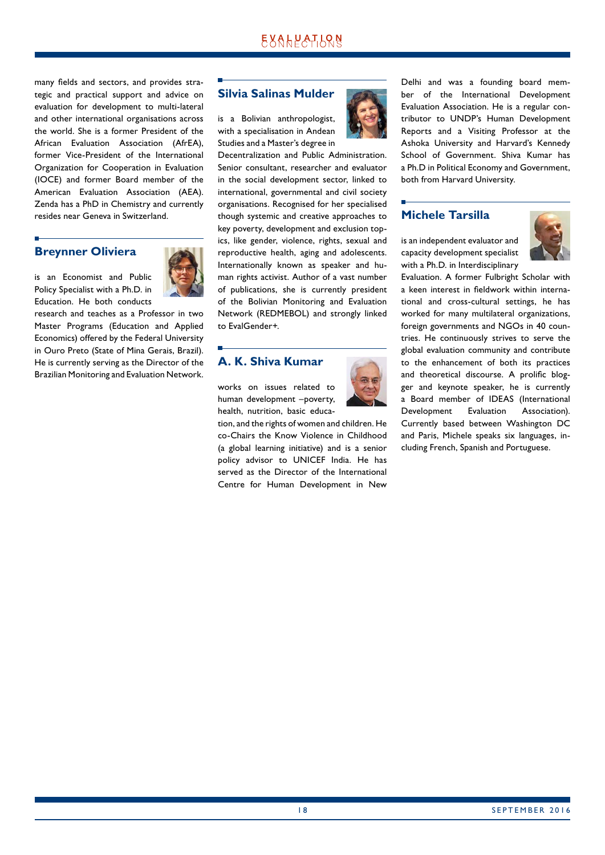many fields and sectors, and provides strategic and practical support and advice on evaluation for development to multi-lateral and other international organisations across the world. She is a former President of the African Evaluation Association (AfrEA), former Vice-President of the International Organization for Cooperation in Evaluation (IOCE) and former Board member of the American Evaluation Association (AEA). Zenda has a PhD in Chemistry and currently resides near Geneva in Switzerland.

#### **Breynner Oliviera**

is an Economist and Public Policy Specialist with a Ph.D. in Education. He both conducts



research and teaches as a Professor in two Master Programs (Education and Applied Economics) offered by the Federal University in Ouro Preto (State of Mina Gerais, Brazil). He is currently serving as the Director of the Brazilian Monitoring and Evaluation Network.

#### **Silvia Salinas Mulder**

is a Bolivian anthropologist, with a specialisation in Andean Studies and a Master's degree in



Decentralization and Public Administration. Senior consultant, researcher and evaluator in the social development sector, linked to international, governmental and civil society organisations. Recognised for her specialised though systemic and creative approaches to key poverty, development and exclusion topics, like gender, violence, rights, sexual and reproductive health, aging and adolescents. Internationally known as speaker and human rights activist. Author of a vast number of publications, she is currently president of the Bolivian Monitoring and Evaluation Network (REDMEBOL) and strongly linked to EvalGender+.

#### **A. K. Shiva Kumar**

works on issues related to human development –poverty, health, nutrition, basic educa-

tion, and the rights of women and children. He co-Chairs the Know Violence in Childhood (a global learning initiative) and is a senior policy advisor to UNICEF India. He has served as the Director of the International Centre for Human Development in New

Delhi and was a founding board member of the International Development Evaluation Association. He is a regular contributor to UNDP's Human Development Reports and a Visiting Professor at the Ashoka University and Harvard's Kennedy School of Government. Shiva Kumar has a Ph.D in Political Economy and Government, both from Harvard University.

#### **Michele Tarsilla**

is an independent evaluator and capacity development specialist with a Ph.D. in Interdisciplinary



Evaluation. A former Fulbright Scholar with a keen interest in fieldwork within international and cross-cultural settings, he has worked for many multilateral organizations, foreign governments and NGOs in 40 countries. He continuously strives to serve the global evaluation community and contribute to the enhancement of both its practices and theoretical discourse. A prolific blogger and keynote speaker, he is currently a Board member of IDEAS (International Development Evaluation Association). Currently based between Washington DC and Paris, Michele speaks six languages, including French, Spanish and Portuguese.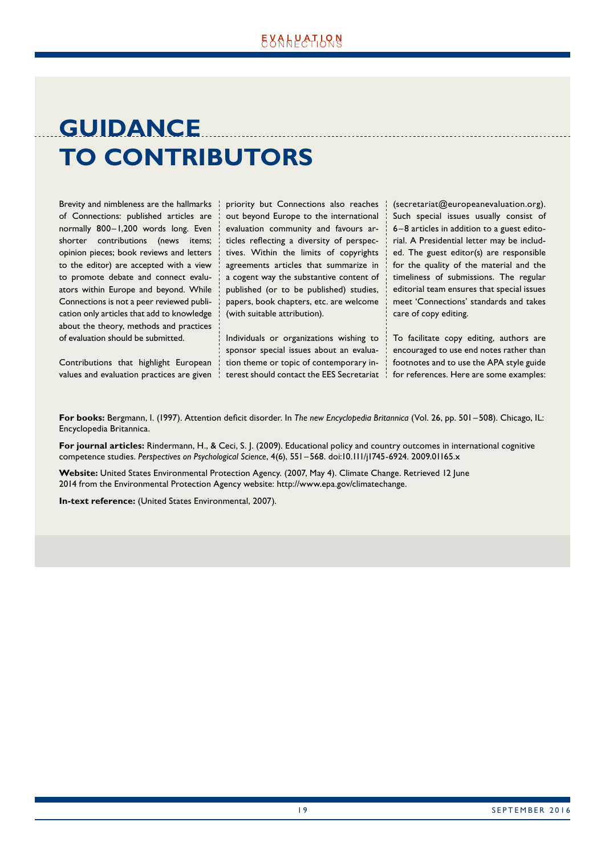## <span id="page-18-0"></span>**GUIDANCE TO CONTRIBUTORS**

Brevity and nimbleness are the hallmarks of Connections: published articles are normally 800–1,200 words long. Even shorter contributions (news items; opinion pieces; book reviews and letters to the editor) are accepted with a view to promote debate and connect evaluators within Europe and beyond. While Connections is not a peer reviewed publication only articles that add to knowledge about the theory, methods and practices of evaluation should be submitted.

Contributions that highlight European values and evaluation practices are given priority but Connections also reaches out beyond Europe to the international evaluation community and favours articles reflecting a diversity of perspec‑ tives. Within the limits of copyrights agreements articles that summarize in a cogent way the substantive content of published (or to be published) studies, papers, book chapters, etc. are welcome (with suitable attribution).

Individuals or organizations wishing to sponsor special issues about an evaluation theme or topic of contemporary interest should contact the EES Secretariat

(secretariat@europeanevaluation.org). Such special issues usually consist of 6–8 articles in addition to a guest edito‑ rial. A Presidential letter may be included. The guest editor(s) are responsible for the quality of the material and the timeliness of submissions. The regular editorial team ensures that special issues meet 'Connections' standards and takes care of copy editing.

To facilitate copy editing, authors are encouraged to use end notes rather than footnotes and to use the APA style guide for references. Here are some examples:

**For books:** Bergmann, I. (1997). Attention deficit disorder. In *The new Encyclopedia Britannica* (Vol. 26, pp. 501–508). Chicago, IL: Encyclopedia Britannica.

**For journal articles:** Rindermann, H., & Ceci, S. J. (2009). Educational policy and country outcomes in international cognitive competence studies. *Perspectives on Psychological Science*, 4(6), 551–568. doi:10.111/j1745-6924. 2009.01165.x

**Website:** United States Environmental Protection Agency. (2007, May 4). Climate Change. Retrieved 12 June 2014 from the Environmental Protection Agency website: http://www.epa.gov/climatechange.

**In-text reference:** (United States Environmental, 2007).